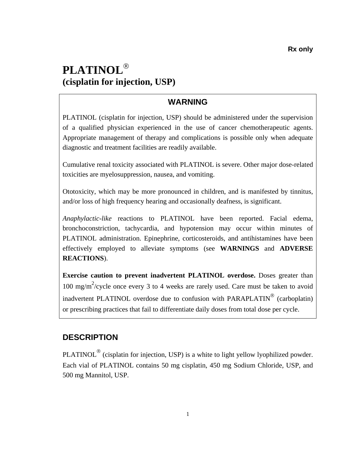# **PLATINOL**® **(cisplatin for injection, USP)**

# **WARNING**

PLATINOL (cisplatin for injection, USP) should be administered under the supervision of a qualified physician experienced in the use of cancer chemotherapeutic agents. Appropriate management of therapy and complications is possible only when adequate diagnostic and treatment facilities are readily available.

Cumulative renal toxicity associated with PLATINOL is severe. Other major dose-related toxicities are myelosuppression, nausea, and vomiting.

Ototoxicity, which may be more pronounced in children, and is manifested by tinnitus, and/or loss of high frequency hearing and occasionally deafness, is significant.

*Anaphylactic-like* reactions to PLATINOL have been reported. Facial edema, bronchoconstriction, tachycardia, and hypotension may occur within minutes of PLATINOL administration. Epinephrine, corticosteroids, and antihistamines have been effectively employed to alleviate symptoms (see **WARNINGS** and **ADVERSE REACTIONS**).

**Exercise caution to prevent inadvertent PLATINOL overdose.** Doses greater than 100 mg/m<sup>2</sup>/cycle once every 3 to 4 weeks are rarely used. Care must be taken to avoid inadvertent PLATINOL overdose due to confusion with PARAPLATIN® (carboplatin) or prescribing practices that fail to differentiate daily doses from total dose per cycle.

# **DESCRIPTION**

PLATINOL<sup>®</sup> (cisplatin for injection, USP) is a white to light yellow lyophilized powder. Each vial of PLATINOL contains 50 mg cisplatin, 450 mg Sodium Chloride, USP, and 500 mg Mannitol, USP.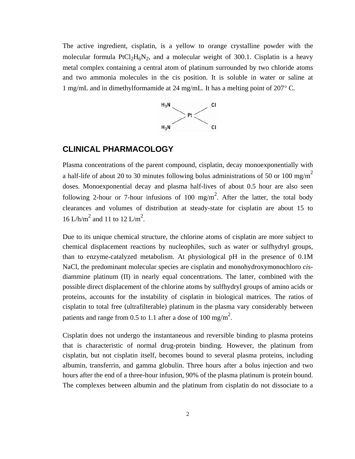<span id="page-1-0"></span>The active ingredient, cisplatin, is a yellow to orange crystalline powder with the molecular formula PtCl<sub>2</sub>H<sub>6</sub>N<sub>2</sub>, and a molecular weight of 300.1. Cisplatin is a heavy metal complex containing a central atom of platinum surrounded by two chloride atoms and two ammonia molecules in the cis position. It is soluble in water or saline at 1 mg/mL and in dimethylformamide at 24 mg/mL. It has a melting point of 207° C.



#### **CLINICAL PHARMACOLOGY**

Plasma concentrations of the parent compound, cisplatin, decay monoexponentially with a half-life of about 20 to 30 minutes following bolus administrations of 50 or 100 mg/m<sup>2</sup> doses. Monoexponential decay and plasma half-lives of about 0.5 hour are also seen following 2-hour or 7-hour infusions of 100 mg/m<sup>2</sup>. After the latter, the total body clearances and volumes of distribution at steady-state for cisplatin are about 15 to 16 L/h/m<sup>2</sup> and 11 to 12 L/m<sup>2</sup>.

Due to its unique chemical structure, the chlorine atoms of cisplatin are more subject to chemical displacement reactions by nucleophiles, such as water or sulfhydryl groups, than to enzyme-catalyzed metabolism. At physiological pH in the presence of 0.1M NaCl, the predominant molecular species are cisplatin and monohydroxymonochloro *cis*diammine platinum (II) in nearly equal concentrations. The latter, combined with the possible direct displacement of the chlorine atoms by sulfhydryl groups of amino acids or proteins, accounts for the instability of cisplatin in biological matrices. The ratios of cisplatin to total free (ultrafilterable) platinum in the plasma vary considerably between patients and range from 0.5 to 1.1 after a dose of 100 mg/m<sup>2</sup>.

 that is characteristic of normal drug-protein binding. However, the platinum from Cisplatin does not undergo the instantaneous and reversible binding to plasma proteins cisplatin, but not cisplatin itself, becomes bound to several plasma proteins, including albumin, transferrin, and gamma globulin. Three hours after a bolus injection and two hours after the end of a three-hour infusion, 90% of the plasma platinum is protein bound. The complexes between albumin and the platinum from cisplatin do not dissociate to a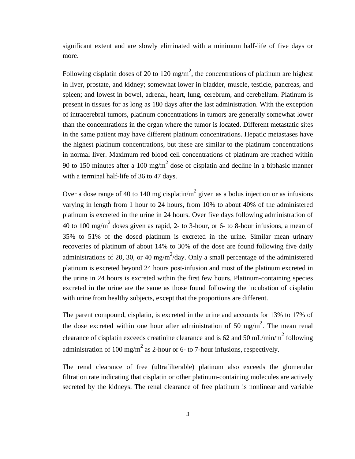significant extent and are slowly eliminated with a minimum half-life of five days or more.

Following cisplatin doses of 20 to 120 mg/m<sup>2</sup>, the concentrations of platinum are highest in liver, prostate, and kidney; somewhat lower in bladder, muscle, testicle, pancreas, and spleen; and lowest in bowel, adrenal, heart, lung, cerebrum, and cerebellum. Platinum is present in tissues for as long as 180 days after the last administration. With the exception of intracerebral tumors, platinum concentrations in tumors are generally somewhat lower than the concentrations in the organ where the tumor is located. Different metastatic sites in the same patient may have different platinum concentrations. Hepatic metastases have the highest platinum concentrations, but these are similar to the platinum concentrations in normal liver. Maximum red blood cell concentrations of platinum are reached within 90 to 150 minutes after a 100 mg/m<sup>2</sup> dose of cisplatin and decline in a biphasic manner with a terminal half-life of 36 to 47 days.

Over a dose range of 40 to 140 mg cisplatin/m<sup>2</sup> given as a bolus injection or as infusions varying in length from 1 hour to 24 hours, from 10% to about 40% of the administered platinum is excreted in the urine in 24 hours. Over five days following administration of 40 to 100 mg/m<sup>2</sup> doses given as rapid, 2- to 3-hour, or 6- to 8-hour infusions, a mean of 35% to 51% of the dosed platinum is excreted in the urine. Similar mean urinary recoveries of platinum of about 14% to 30% of the dose are found following five daily administrations of 20, 30, or 40 mg/m<sup>2</sup>/day. Only a small percentage of the administered platinum is excreted beyond 24 hours post-infusion and most of the platinum excreted in the urine in 24 hours is excreted within the first few hours. Platinum-containing species excreted in the urine are the same as those found following the incubation of cisplatin with urine from healthy subjects, except that the proportions are different.

The parent compound, cisplatin, is excreted in the urine and accounts for 13% to 17% of the dose excreted within one hour after administration of 50 mg/m<sup>2</sup>. The mean renal clearance of cisplatin exceeds creatinine clearance and is 62 and 50 mL/min/m<sup>2</sup> following administration of 100 mg/m<sup>2</sup> as 2-hour or 6- to 7-hour infusions, respectively.

The renal clearance of free (ultrafilterable) platinum also exceeds the glomerular filtration rate indicating that cisplatin or other platinum-containing molecules are actively secreted by the kidneys. The renal clearance of free platinum is nonlinear and variable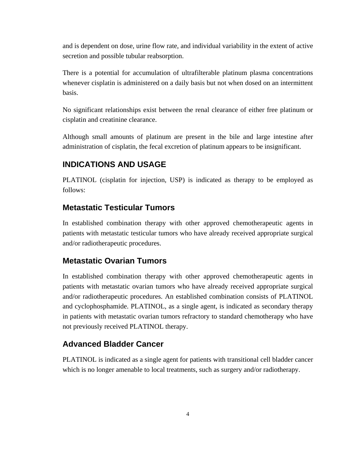and is dependent on dose, urine flow rate, and individual variability in the extent of active secretion and possible tubular reabsorption.

There is a potential for accumulation of ultrafilterable platinum plasma concentrations whenever cisplatin is administered on a daily basis but not when dosed on an intermittent basis.

No significant relationships exist between the renal clearance of either free platinum or cisplatin and creatinine clearance.

Although small amounts of platinum are present in the bile and large intestine after administration of cisplatin, the fecal excretion of platinum appears to be insignificant.

### **INDICATIONS AND USAGE**

PLATINOL (cisplatin for injection, USP) is indicated as therapy to be employed as follows:

#### **Metastatic Testicular Tumors**

In established combination therapy with other approved chemotherapeutic agents in patients with metastatic testicular tumors who have already received appropriate surgical and/or radiotherapeutic procedures.

# **Metastatic Ovarian Tumors**

In established combination therapy with other approved chemotherapeutic agents in patients with metastatic ovarian tumors who have already received appropriate surgical and/or radiotherapeutic procedures. An established combination consists of PLATINOL and cyclophosphamide. PLATINOL, as a single agent, is indicated as secondary therapy in patients with metastatic ovarian tumors refractory to standard chemotherapy who have not previously received PLATINOL therapy.

#### **Advanced Bladder Cancer**

PLATINOL is indicated as a single agent for patients with transitional cell bladder cancer which is no longer amenable to local treatments, such as surgery and/or radiotherapy.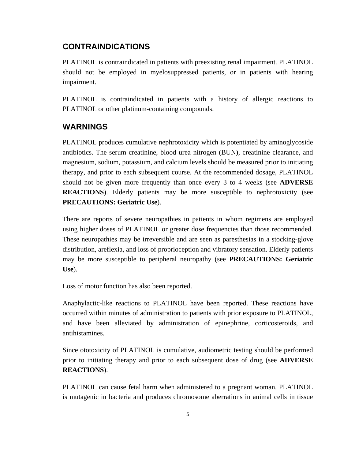### **CONTRAINDICATIONS**

PLATINOL is contraindicated in patients with preexisting renal impairment. PLATINOL should not be employed in myelosuppressed patients, or in patients with hearing impairment.

PLATINOL is contraindicated in patients with a history of allergic reactions to PLATINOL or other platinum-containing compounds.

### **WARNINGS**

PLATINOL produces cumulative nephrotoxicity which is potentiated by aminoglycoside antibiotics. The serum creatinine, blood urea nitrogen (BUN), creatinine clearance, and magnesium, sodium, potassium, and calcium levels should be measured prior to initiating therapy, and prior to each subsequent course. At the recommended dosage, PLATINOL should not be given more frequently than once every 3 to 4 weeks (see **ADVERSE REACTIONS**). Elderly patients may be more susceptible to nephrotoxicity (see **PRECAUTIONS: Geriatric Use**).

There are reports of severe neuropathies in patients in whom regimens are employed using higher doses of PLATINOL or greater dose frequencies than those recommended. These neuropathies may be irreversible and are seen as paresthesias in a stocking-glove distribution, areflexia, and loss of proprioception and vibratory sensation. Elderly patients may be more susceptible to peripheral neuropathy (see **PRECAUTIONS: Geriatric Use**).

Loss of motor function has also been reported.

Anaphylactic-like reactions to PLATINOL have been reported. These reactions have occurred within minutes of administration to patients with prior exposure to PLATINOL, and have been alleviated by administration of epinephrine, corticosteroids, and antihistamines.

Since ototoxicity of PLATINOL is cumulative, audiometric testing should be performed prior to initiating therapy and prior to each subsequent dose of drug (see **ADVERSE REACTIONS**).

PLATINOL can cause fetal harm when administered to a pregnant woman. PLATINOL is mutagenic in bacteria and produces chromosome aberrations in animal cells in tissue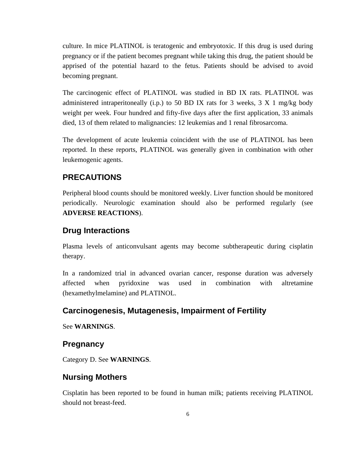culture. In mice PLATINOL is teratogenic and embryotoxic. If this drug is used during pregnancy or if the patient becomes pregnant while taking this drug, the patient should be apprised of the potential hazard to the fetus. Patients should be advised to avoid becoming pregnant.

The carcinogenic effect of PLATINOL was studied in BD IX rats. PLATINOL was administered intraperitoneally  $(i.p.)$  to 50 BD IX rats for 3 weeks, 3 X 1 mg/kg body weight per week. Four hundred and fifty-five days after the first application, 33 animals died, 13 of them related to malignancies: 12 leukemias and 1 renal fibrosarcoma.

The development of acute leukemia coincident with the use of PLATINOL has been reported. In these reports, PLATINOL was generally given in combination with other leukemogenic agents.

### **PRECAUTIONS**

Peripheral blood counts should be monitored weekly. Liver function should be monitored periodically. Neurologic examination should also be performed regularly (see **ADVERSE REACTIONS**).

#### **Drug Interactions**

Plasma levels of anticonvulsant agents may become subtherapeutic during cisplatin therapy.

In a randomized trial in advanced ovarian cancer, response duration was adversely affected when pyridoxine was used in combination with altretamine (hexamethylmelamine) and PLATINOL.

### **Carcinogenesis, Mutagenesis, Impairment of Fertility**

See **WARNINGS**.

# **Pregnancy**

Category D. See **WARNINGS**.

#### **Nursing Mothers**

Cisplatin has been reported to be found in human milk; patients receiving PLATINOL should not breast-feed.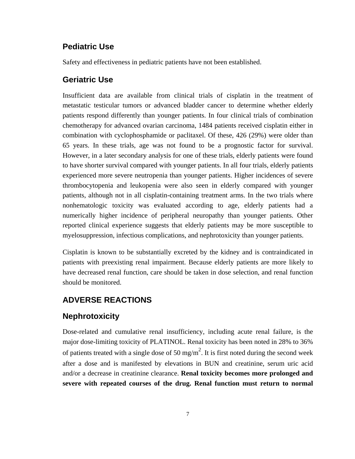#### **Pediatric Use**

Safety and effectiveness in pediatric patients have not been established.

#### **Geriatric Use**

Insufficient data are available from clinical trials of cisplatin in the treatment of metastatic testicular tumors or advanced bladder cancer to determine whether elderly patients respond differently than younger patients. In four clinical trials of combination chemotherapy for advanced ovarian carcinoma, 1484 patients received cisplatin either in combination with cyclophosphamide or paclitaxel. Of these, 426 (29%) were older than 65 years. In these trials, age was not found to be a prognostic factor for survival. However, in a later secondary analysis for one of these trials, elderly patients were found to have shorter survival compared with younger patients. In all four trials, elderly patients experienced more severe neutropenia than younger patients. Higher incidences of severe thrombocytopenia and leukopenia were also seen in elderly compared with younger patients, although not in all cisplatin-containing treatment arms. In the two trials where nonhematologic toxicity was evaluated according to age, elderly patients had a numerically higher incidence of peripheral neuropathy than younger patients. Other reported clinical experience suggests that elderly patients may be more susceptible to myelosuppression, infectious complications, and nephrotoxicity than younger patients.

Cisplatin is known to be substantially excreted by the kidney and is contraindicated in patients with preexisting renal impairment. Because elderly patients are more likely to have decreased renal function, care should be taken in dose selection, and renal function should be monitored.

### **ADVERSE REACTIONS**

### **Nephrotoxicity**

Dose-related and cumulative renal insufficiency, including acute renal failure, is the major dose-limiting toxicity of PLATINOL. Renal toxicity has been noted in 28% to 36% of patients treated with a single dose of 50 mg/m<sup>2</sup>. It is first noted during the second week after a dose and is manifested by elevations in BUN and creatinine, serum uric acid and/or a decrease in creatinine clearance. **Renal toxicity becomes more prolonged and severe with repeated courses of the drug. Renal function must return to normal**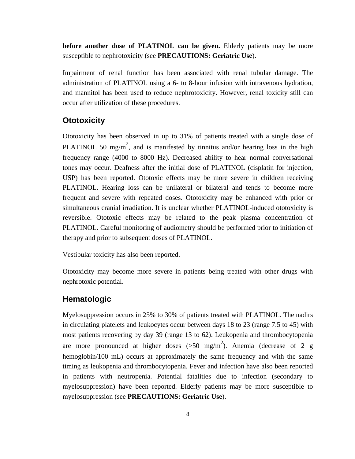**before another dose of PLATINOL can be given.** Elderly patients may be more susceptible to nephrotoxicity (see **PRECAUTIONS: Geriatric Use**).

Impairment of renal function has been associated with renal tubular damage. The administration of PLATINOL using a 6- to 8-hour infusion with intravenous hydration, and mannitol has been used to reduce nephrotoxicity. However, renal toxicity still can occur after utilization of these procedures.

#### **Ototoxicity**

Ototoxicity has been observed in up to 31% of patients treated with a single dose of PLATINOL 50 mg/m<sup>2</sup>, and is manifested by tinnitus and/or hearing loss in the high frequency range (4000 to 8000 Hz). Decreased ability to hear normal conversational tones may occur. Deafness after the initial dose of PLATINOL (cisplatin for injection, USP) has been reported. Ototoxic effects may be more severe in children receiving PLATINOL. Hearing loss can be unilateral or bilateral and tends to become more frequent and severe with repeated doses. Ototoxicity may be enhanced with prior or simultaneous cranial irradiation. It is unclear whether PLATINOL-induced ototoxicity is reversible. Ototoxic effects may be related to the peak plasma concentration of PLATINOL. Careful monitoring of audiometry should be performed prior to initiation of therapy and prior to subsequent doses of PLATINOL.

Vestibular toxicity has also been reported.

Ototoxicity may become more severe in patients being treated with other drugs with nephrotoxic potential.

#### **Hematologic**

Myelosuppression occurs in 25% to 30% of patients treated with PLATINOL. The nadirs in circulating platelets and leukocytes occur between days 18 to 23 (range 7.5 to 45) with most patients recovering by day 39 (range 13 to 62). Leukopenia and thrombocytopenia are more pronounced at higher doses  $(>50 \text{ mg/m}^2)$ . Anemia (decrease of 2 g hemoglobin/100 mL) occurs at approximately the same frequency and with the same timing as leukopenia and thrombocytopenia. Fever and infection have also been reported in patients with neutropenia. Potential fatalities due to infection (secondary to myelosuppression) have been reported. Elderly patients may be more susceptible to myelosuppression (see **PRECAUTIONS: Geriatric Use**).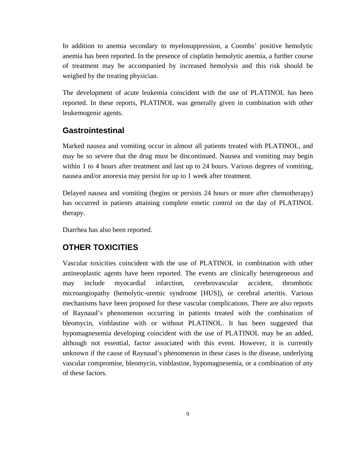In addition to anemia secondary to myelosuppression, a Coombs' positive hemolytic anemia has been reported. In the presence of cisplatin hemolytic anemia, a further course of treatment may be accompanied by increased hemolysis and this risk should be weighed by the treating physician.

The development of acute leukemia coincident with the use of PLATINOL has been reported. In these reports, PLATINOL was generally given in combination with other leukemogenic agents.

#### **Gastrointestinal**

Marked nausea and vomiting occur in almost all patients treated with PLATINOL, and may be so severe that the drug must be discontinued. Nausea and vomiting may begin within 1 to 4 hours after treatment and last up to 24 hours. Various degrees of vomiting, nausea and/or anorexia may persist for up to 1 week after treatment.

Delayed nausea and vomiting (begins or persists 24 hours or more after chemotherapy) has occurred in patients attaining complete emetic control on the day of PLATINOL therapy.

Diarrhea has also been reported.

### **OTHER TOXICITIES**

Vascular toxicities coincident with the use of PLATINOL in combination with other antineoplastic agents have been reported. The events are clinically heterogeneous and may include myocardial infarction, cerebrovascular accident, thrombotic microangiopathy (hemolytic-uremic syndrome [HUS]), or cerebral arteritis. Various mechanisms have been proposed for these vascular complications. There are also reports of Raynaud's phenomenon occurring in patients treated with the combination of bleomycin, vinblastine with or without PLATINOL. It has been suggested that hypomagnesemia developing coincident with the use of PLATINOL may be an added, although not essential, factor associated with this event. However, it is currently unknown if the cause of Raynaud's phenomenon in these cases is the disease, underlying vascular compromise, bleomycin, vinblastine, hypomagnesemia, or a combination of any of these factors.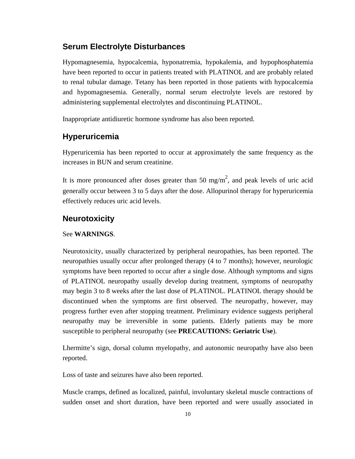### **Serum Electrolyte Disturbances**

Hypomagnesemia, hypocalcemia, hyponatremia, hypokalemia, and hypophosphatemia have been reported to occur in patients treated with PLATINOL and are probably related to renal tubular damage. Tetany has been reported in those patients with hypocalcemia and hypomagnesemia. Generally, normal serum electrolyte levels are restored by administering supplemental electrolytes and discontinuing PLATINOL.

Inappropriate antidiuretic hormone syndrome has also been reported.

#### **Hyperuricemia**

Hyperuricemia has been reported to occur at approximately the same frequency as the increases in BUN and serum creatinine.

It is more pronounced after doses greater than 50 mg/m<sup>2</sup>, and peak levels of uric acid generally occur between 3 to 5 days after the dose. Allopurinol therapy for hyperuricemia effectively reduces uric acid levels.

### **Neurotoxicity**

#### See **WARNINGS**.

Neurotoxicity, usually characterized by peripheral neuropathies, has been reported. The neuropathies usually occur after prolonged therapy (4 to 7 months); however, neurologic symptoms have been reported to occur after a single dose. Although symptoms and signs of PLATINOL neuropathy usually develop during treatment, symptoms of neuropathy may begin 3 to 8 weeks after the last dose of PLATINOL. PLATINOL therapy should be discontinued when the symptoms are first observed. The neuropathy, however, may progress further even after stopping treatment. Preliminary evidence suggests peripheral neuropathy may be irreversible in some patients. Elderly patients may be more susceptible to peripheral neuropathy (see **PRECAUTIONS: Geriatric Use**).

Lhermitte's sign, dorsal column myelopathy, and autonomic neuropathy have also been reported.

Loss of taste and seizures have also been reported.

Muscle cramps, defined as localized, painful, involuntary skeletal muscle contractions of sudden onset and short duration, have been reported and were usually associated in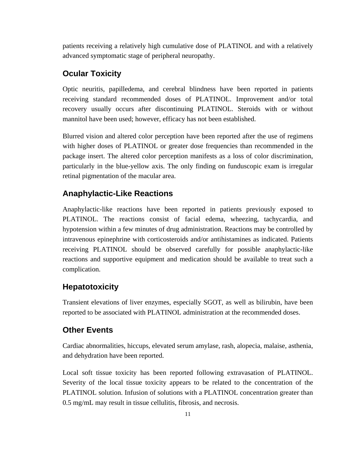patients receiving a relatively high cumulative dose of PLATINOL and with a relatively advanced symptomatic stage of peripheral neuropathy.

#### **Ocular Toxicity**

Optic neuritis, papilledema, and cerebral blindness have been reported in patients receiving standard recommended doses of PLATINOL. Improvement and/or total recovery usually occurs after discontinuing PLATINOL. Steroids with or without mannitol have been used; however, efficacy has not been established.

Blurred vision and altered color perception have been reported after the use of regimens with higher doses of PLATINOL or greater dose frequencies than recommended in the package insert. The altered color perception manifests as a loss of color discrimination, particularly in the blue-yellow axis. The only finding on funduscopic exam is irregular retinal pigmentation of the macular area.

#### **Anaphylactic-Like Reactions**

Anaphylactic-like reactions have been reported in patients previously exposed to PLATINOL. The reactions consist of facial edema, wheezing, tachycardia, and hypotension within a few minutes of drug administration. Reactions may be controlled by intravenous epinephrine with corticosteroids and/or antihistamines as indicated. Patients receiving PLATINOL should be observed carefully for possible anaphylactic-like reactions and supportive equipment and medication should be available to treat such a complication.

#### **Hepatotoxicity**

Transient elevations of liver enzymes, especially SGOT, as well as bilirubin, have been reported to be associated with PLATINOL administration at the recommended doses.

#### **Other Events**

Cardiac abnormalities, hiccups, elevated serum amylase, rash, alopecia, malaise, asthenia, and dehydration have been reported.

Local soft tissue toxicity has been reported following extravasation of PLATINOL. Severity of the local tissue toxicity appears to be related to the concentration of the PLATINOL solution. Infusion of solutions with a PLATINOL concentration greater than 0.5 mg/mL may result in tissue cellulitis, fibrosis, and necrosis.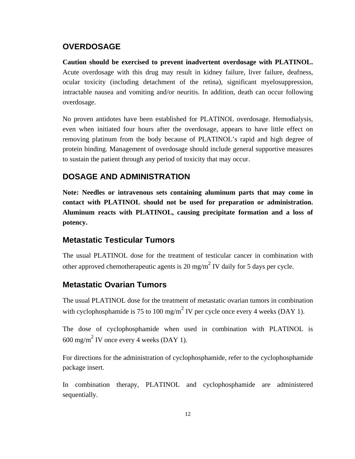#### **OVERDOSAGE**

**Caution should be exercised to prevent inadvertent overdosage with PLATINOL.**  Acute overdosage with this drug may result in kidney failure, liver failure, deafness, ocular toxicity (including detachment of the retina), significant myelosuppression, intractable nausea and vomiting and/or neuritis. In addition, death can occur following overdosage.

No proven antidotes have been established for PLATINOL overdosage. Hemodialysis, even when initiated four hours after the overdosage, appears to have little effect on removing platinum from the body because of PLATINOL's rapid and high degree of protein binding. Management of overdosage should include general supportive measures to sustain the patient through any period of toxicity that may occur.

#### **DOSAGE AND ADMINISTRATION**

**Note: Needles or intravenous sets containing aluminum parts that may come in contact with PLATINOL should not be used for preparation or administration. Aluminum reacts with PLATINOL, causing precipitate formation and a loss of potency.** 

### **Metastatic Testicular Tumors**

The usual PLATINOL dose for the treatment of testicular cancer in combination with other approved chemotherapeutic agents is 20 mg/m<sup>2</sup> IV daily for 5 days per cycle.

### **Metastatic Ovarian Tumors**

The usual PLATINOL dose for the treatment of metastatic ovarian tumors in combination with cyclophosphamide is 75 to 100 mg/m<sup>2</sup> IV per cycle once every 4 weeks (DAY 1).

The dose of cyclophosphamide when used in combination with PLATINOL is  $600 \text{ mg/m}^2$  IV once every 4 weeks (DAY 1).

For directions for the administration of cyclophosphamide, refer to the cyclophosphamide package insert.

In combination therapy, PLATINOL and cyclophosphamide are administered sequentially.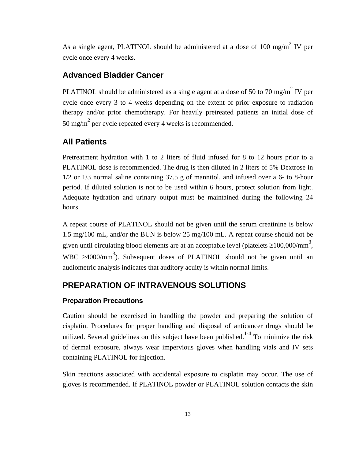As a single agent, PLATINOL should be administered at a dose of 100 mg/m<sup>2</sup> IV per cycle once every 4 weeks.

#### **Advanced Bladder Cancer**

PLATINOL should be administered as a single agent at a dose of 50 to 70 mg/m<sup>2</sup> IV per cycle once every 3 to 4 weeks depending on the extent of prior exposure to radiation therapy and/or prior chemotherapy. For heavily pretreated patients an initial dose of 50 mg/m<sup>2</sup> per cycle repeated every 4 weeks is recommended.

#### **All Patients**

Pretreatment hydration with 1 to 2 liters of fluid infused for 8 to 12 hours prior to a PLATINOL dose is recommended. The drug is then diluted in 2 liters of 5% Dextrose in 1/2 or 1/3 normal saline containing 37.5 g of mannitol, and infused over a 6- to 8-hour period. If diluted solution is not to be used within 6 hours, protect solution from light. Adequate hydration and urinary output must be maintained during the following 24 hours.

A repeat course of PLATINOL should not be given until the serum creatinine is below 1.5 mg/100 mL, and/or the BUN is below 25 mg/100 mL. A repeat course should not be given until circulating blood elements are at an acceptable level (platelets  $\geq$ 100,000/mm<sup>3</sup>, WBC  $\geq$ 4000/mm<sup>3</sup>). Subsequent doses of PLATINOL should not be given until an audiometric analysis indicates that auditory acuity is within normal limits.

# **PREPARATION OF INTRAVENOUS SOLUTIONS**

#### **Preparation Precautions**

Caution should be exercised in handling the powder and preparing the solution of cisplatin. Procedures for proper handling and disposal of anticancer drugs should be utilized. Several guidelines on this subject have been published.<sup>1-4</sup> To minimize the risk of dermal exposure, always wear impervious gloves when handling vials and IV sets containing PLATINOL for injection.

Skin reactions associated with accidental exposure to cisplatin may occur. The use of gloves is recommended. If PLATINOL powder or PLATINOL solution contacts the skin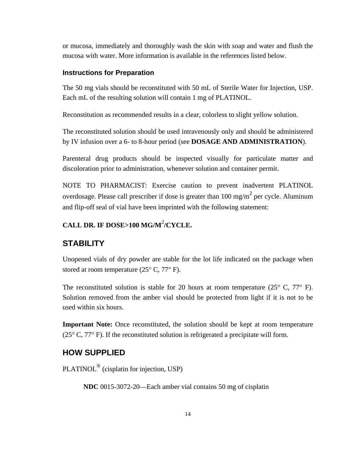or mucosa, immediately and thoroughly wash the skin with soap and water and flush the mucosa with water. More information is available in the references listed below.

#### **Instructions for Preparation**

The 50 mg vials should be reconstituted with 50 mL of Sterile Water for Injection, USP. Each mL of the resulting solution will contain 1 mg of PLATINOL.

Reconstitution as recommended results in a clear, colorless to slight yellow solution.

The reconstituted solution should be used intravenously only and should be administered by IV infusion over a 6- to 8-hour period (see **DOSAGE AND ADMINISTRATION**).

Parenteral drug products should be inspected visually for particulate matter and discoloration prior to administration, whenever solution and container permit.

NOTE TO PHARMACIST: Exercise caution to prevent inadvertent PLATINOL overdosage. Please call prescriber if dose is greater than  $100 \text{ mg/m}^2$  per cycle. Aluminum and flip-off seal of vial have been imprinted with the following statement:

# **CALL DR. IF DOSE>100 MG/M**<sup>2</sup> **/CYCLE.**

#### **STABILITY**

Unopened vials of dry powder are stable for the lot life indicated on the package when stored at room temperature  $(25^{\circ} \text{ C}, 77^{\circ} \text{ F})$ .

The reconstituted solution is stable for 20 hours at room temperature  $(25^{\circ} \text{ C}, 77^{\circ} \text{ F})$ . Solution removed from the amber vial should be protected from light if it is not to be used within six hours.

**Important Note:** Once reconstituted, the solution should be kept at room temperature ( $25^{\circ}$  C,  $77^{\circ}$  F). If the reconstituted solution is refrigerated a precipitate will form.

#### **HOW SUPPLIED**

PLATINOL® (cisplatin for injection, USP)

**NDC** 0015-3072-20—Each amber vial contains 50 mg of cisplatin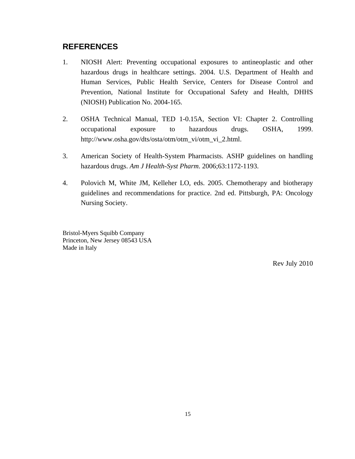# **REFERENCES**

- 1. NIOSH Alert: Preventing occupational exposures to antineoplastic and other hazardous drugs in healthcare settings. 2004. U.S. Department of Health and Human Services, Public Health Service, Centers for Disease Control and Prevention, National Institute for Occupational Safety and Health, DHHS (NIOSH) Publication No. 2004-165.
- 2. OSHA Technical Manual, TED 1-0.15A, Section VI: Chapter 2. Controlling occupational exposure to hazardous drugs. OSHA, 1999. http://www.osha.gov/dts/osta/otm/otm\_vi/otm\_vi\_2.html.
- 3. American Society of Health-System Pharmacists. ASHP guidelines on handling hazardous drugs. *Am J Health-Syst Pharm*. 2006;63:1172-1193.
- 4. Polovich M, White JM, Kelleher LO, eds. 2005. Chemotherapy and biotherapy guidelines and recommendations for practice. 2nd ed. Pittsburgh, PA: Oncology Nursing Society.

Bristol-Myers Squibb Company Princeton, New Jersey 08543 USA Made in Italy

Rev July 2010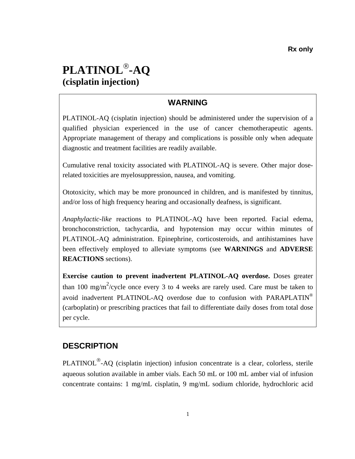# **PLATINOL**®**-AQ (cisplatin injection)**

# **WARNING**

PLATINOL-AQ (cisplatin injection) should be administered under the supervision of a qualified physician experienced in the use of cancer chemotherapeutic agents. Appropriate management of therapy and complications is possible only when adequate diagnostic and treatment facilities are readily available.

Cumulative renal toxicity associated with PLATINOL-AQ is severe. Other major doserelated toxicities are myelosuppression, nausea, and vomiting.

Ototoxicity, which may be more pronounced in children, and is manifested by tinnitus, and/or loss of high frequency hearing and occasionally deafness, is significant.

*Anaphylactic-like* reactions to PLATINOL-AQ have been reported. Facial edema, bronchoconstriction, tachycardia, and hypotension may occur within minutes of PLATINOL-AQ administration. Epinephrine, corticosteroids, and antihistamines have been effectively employed to alleviate symptoms (see **WARNINGS** and **ADVERSE REACTIONS** sections).

**Exercise caution to prevent inadvertent PLATINOL-AQ overdose.** Doses greater than 100 mg/m<sup>2</sup>/cycle once every 3 to 4 weeks are rarely used. Care must be taken to avoid inadvertent PLATINOL-AQ overdose due to confusion with PARAPLATIN<sup>®</sup> (carboplatin) or prescribing practices that fail to differentiate daily doses from total dose per cycle.

# **DESCRIPTION**

PLATINOL®-AQ (cisplatin injection) infusion concentrate is a clear, colorless, sterile aqueous solution available in amber vials. Each 50 mL or 100 mL amber vial of infusion concentrate contains: 1 mg/mL cisplatin, 9 mg/mL sodium chloride, hydrochloric acid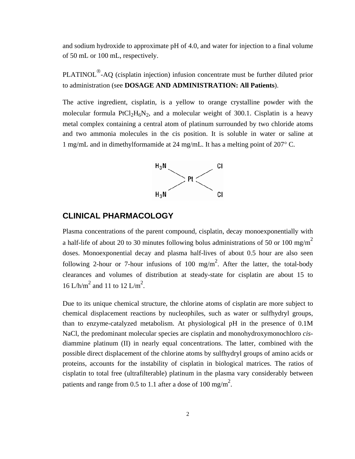<span id="page-16-0"></span>and sodium hydroxide to approximate pH of 4.0, and water for injection to a final volume of 50 mL or 100 mL, respectively.

PLATINOL<sup>®</sup>-AQ (cisplatin injection) infusion concentrate must be further diluted prior to administration (see **DOSAGE AND ADMINISTRATION: All Patients**).

The active ingredient, cisplatin, is a yellow to orange crystalline powder with the molecular formula PtCl<sub>2</sub>H<sub>6</sub>N<sub>2</sub>, and a molecular weight of 300.1. Cisplatin is a heavy metal complex containing a central atom of platinum surrounded by two chloride atoms and two ammonia molecules in the cis position. It is soluble in water or saline at 1 mg/mL and in dimethylformamide at 24 mg/mL. It has a melting point of 207° C.



#### **CLINICAL PHARMACOLOGY**

Plasma concentrations of the parent compound, cisplatin, decay monoexponentially with a half-life of about 20 to 30 minutes following bolus administrations of 50 or 100 mg/m<sup>2</sup> doses. Monoexponential decay and plasma half-lives of about 0.5 hour are also seen following 2-hour or 7-hour infusions of 100 mg/m<sup>2</sup>. After the latter, the total-body clearances and volumes of distribution at steady-state for cisplatin are about 15 to 16 L/h/m<sup>2</sup> and 11 to 12 L/m<sup>2</sup>.

Due to its unique chemical structure, the chlorine atoms of cisplatin are more subject to chemical displacement reactions by nucleophiles, such as water or sulfhydryl groups, than to enzyme-catalyzed metabolism. At physiological pH in the presence of 0.1M NaCl, the predominant molecular species are cisplatin and monohydroxymonochloro *cis*diammine platinum (II) in nearly equal concentrations. The latter, combined with the possible direct displacement of the chlorine atoms by sulfhydryl groups of amino acids or proteins, accounts for the instability of cisplatin in biological matrices. The ratios of cisplatin to total free (ultrafilterable) platinum in the plasma vary considerably between patients and range from 0.5 to 1.1 after a dose of 100 mg/m<sup>2</sup>.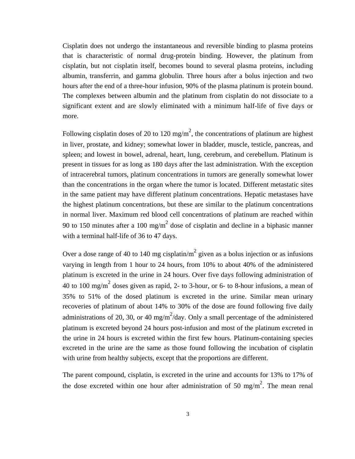that is characteristic of normal drug-protein binding. However, the platinum from Cisplatin does not undergo the instantaneous and reversible binding to plasma proteins cisplatin, but not cisplatin itself, becomes bound to several plasma proteins, including albumin, transferrin, and gamma globulin. Three hours after a bolus injection and two hours after the end of a three-hour infusion, 90% of the plasma platinum is protein bound. The complexes between albumin and the platinum from cisplatin do not dissociate to a significant extent and are slowly eliminated with a minimum half-life of five days or more.

Following cisplatin doses of 20 to 120 mg/m<sup>2</sup>, the concentrations of platinum are highest in liver, prostate, and kidney; somewhat lower in bladder, muscle, testicle, pancreas, and spleen; and lowest in bowel, adrenal, heart, lung, cerebrum, and cerebellum. Platinum is present in tissues for as long as 180 days after the last administration. With the exception of intracerebral tumors, platinum concentrations in tumors are generally somewhat lower than the concentrations in the organ where the tumor is located. Different metastatic sites in the same patient may have different platinum concentrations. Hepatic metastases have the highest platinum concentrations, but these are similar to the platinum concentrations in normal liver. Maximum red blood cell concentrations of platinum are reached within 90 to 150 minutes after a 100 mg/m<sup>2</sup> dose of cisplatin and decline in a biphasic manner with a terminal half-life of 36 to 47 days.

Over a dose range of 40 to 140 mg cisplatin/m<sup>2</sup> given as a bolus injection or as infusions varying in length from 1 hour to 24 hours, from 10% to about 40% of the administered platinum is excreted in the urine in 24 hours. Over five days following administration of 40 to 100 mg/m<sup>2</sup> doses given as rapid, 2- to 3-hour, or 6- to 8-hour infusions, a mean of 35% to 51% of the dosed platinum is excreted in the urine. Similar mean urinary recoveries of platinum of about 14% to 30% of the dose are found following five daily administrations of 20, 30, or 40 mg/m<sup>2</sup>/day. Only a small percentage of the administered platinum is excreted beyond 24 hours post-infusion and most of the platinum excreted in the urine in 24 hours is excreted within the first few hours. Platinum-containing species excreted in the urine are the same as those found following the incubation of cisplatin with urine from healthy subjects, except that the proportions are different.

The parent compound, cisplatin, is excreted in the urine and accounts for 13% to 17% of the dose excreted within one hour after administration of 50 mg/m<sup>2</sup>. The mean renal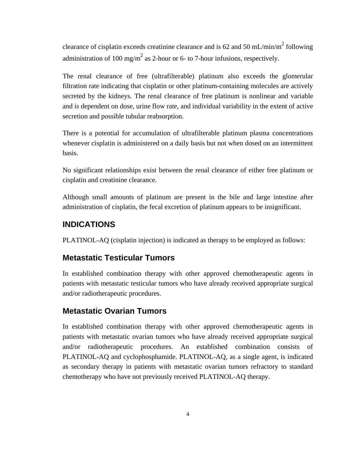clearance of cisplatin exceeds creatinine clearance and is 62 and 50 mL/min/m<sup>2</sup> following administration of 100 mg/m<sup>2</sup> as 2-hour or 6- to 7-hour infusions, respectively.

The renal clearance of free (ultrafilterable) platinum also exceeds the glomerular filtration rate indicating that cisplatin or other platinum-containing molecules are actively secreted by the kidneys. The renal clearance of free platinum is nonlinear and variable and is dependent on dose, urine flow rate, and individual variability in the extent of active secretion and possible tubular reabsorption.

There is a potential for accumulation of ultrafilterable platinum plasma concentrations whenever cisplatin is administered on a daily basis but not when dosed on an intermittent basis.

No significant relationships exist between the renal clearance of either free platinum or cisplatin and creatinine clearance.

Although small amounts of platinum are present in the bile and large intestine after administration of cisplatin, the fecal excretion of platinum appears to be insignificant.

#### **INDICATIONS**

PLATINOL-AQ (cisplatin injection) is indicated as therapy to be employed as follows:

#### **Metastatic Testicular Tumors**

In established combination therapy with other approved chemotherapeutic agents in patients with metastatic testicular tumors who have already received appropriate surgical and/or radiotherapeutic procedures.

#### **Metastatic Ovarian Tumors**

In established combination therapy with other approved chemotherapeutic agents in patients with metastatic ovarian tumors who have already received appropriate surgical and/or radiotherapeutic procedures. An established combination consists of PLATINOL-AQ and cyclophosphamide. PLATINOL-AQ, as a single agent, is indicated as secondary therapy in patients with metastatic ovarian tumors refractory to standard chemotherapy who have not previously received PLATINOL-AQ therapy.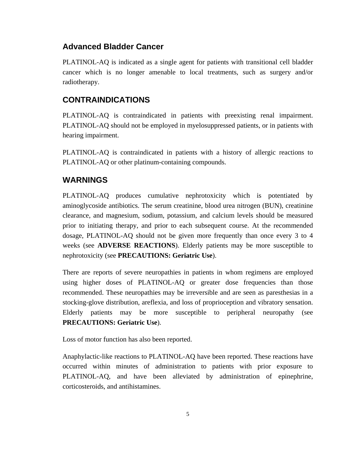### **Advanced Bladder Cancer**

PLATINOL-AQ is indicated as a single agent for patients with transitional cell bladder cancer which is no longer amenable to local treatments, such as surgery and/or radiotherapy.

# **CONTRAINDICATIONS**

PLATINOL-AQ is contraindicated in patients with preexisting renal impairment. PLATINOL-AQ should not be employed in myelosuppressed patients, or in patients with hearing impairment.

PLATINOL-AQ is contraindicated in patients with a history of allergic reactions to PLATINOL-AQ or other platinum-containing compounds.

# **WARNINGS**

PLATINOL-AQ produces cumulative nephrotoxicity which is potentiated by aminoglycoside antibiotics. The serum creatinine, blood urea nitrogen (BUN), creatinine clearance, and magnesium, sodium, potassium, and calcium levels should be measured prior to initiating therapy, and prior to each subsequent course. At the recommended dosage, PLATINOL-AQ should not be given more frequently than once every 3 to 4 weeks (see **ADVERSE REACTIONS**). Elderly patients may be more susceptible to nephrotoxicity (see **PRECAUTIONS: Geriatric Use**).

There are reports of severe neuropathies in patients in whom regimens are employed using higher doses of PLATINOL-AQ or greater dose frequencies than those recommended. These neuropathies may be irreversible and are seen as paresthesias in a stocking-glove distribution, areflexia, and loss of proprioception and vibratory sensation. Elderly patients may be more susceptible to peripheral neuropathy (see **PRECAUTIONS: Geriatric Use**).

Loss of motor function has also been reported.

Anaphylactic-like reactions to PLATINOL-AQ have been reported. These reactions have occurred within minutes of administration to patients with prior exposure to PLATINOL-AQ, and have been alleviated by administration of epinephrine, corticosteroids, and antihistamines.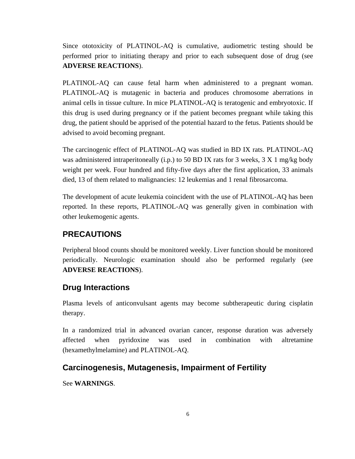Since ototoxicity of PLATINOL-AQ is cumulative, audiometric testing should be performed prior to initiating therapy and prior to each subsequent dose of drug (see **ADVERSE REACTIONS**).

PLATINOL-AQ can cause fetal harm when administered to a pregnant woman. PLATINOL-AQ is mutagenic in bacteria and produces chromosome aberrations in animal cells in tissue culture. In mice PLATINOL-AQ is teratogenic and embryotoxic. If this drug is used during pregnancy or if the patient becomes pregnant while taking this drug, the patient should be apprised of the potential hazard to the fetus. Patients should be advised to avoid becoming pregnant.

The carcinogenic effect of PLATINOL-AQ was studied in BD IX rats. PLATINOL-AQ was administered intraperitoneally (i.p.) to 50 BD IX rats for 3 weeks,  $3 \text{ X 1 mg/kg}$  body weight per week. Four hundred and fifty-five days after the first application, 33 animals died, 13 of them related to malignancies: 12 leukemias and 1 renal fibrosarcoma.

The development of acute leukemia coincident with the use of PLATINOL-AQ has been reported. In these reports, PLATINOL-AQ was generally given in combination with other leukemogenic agents.

### **PRECAUTIONS**

Peripheral blood counts should be monitored weekly. Liver function should be monitored periodically. Neurologic examination should also be performed regularly (see **ADVERSE REACTIONS**).

#### **Drug Interactions**

Plasma levels of anticonvulsant agents may become subtherapeutic during cisplatin therapy.

In a randomized trial in advanced ovarian cancer, response duration was adversely affected when pyridoxine was used in combination with altretamine (hexamethylmelamine) and PLATINOL-AQ.

#### **Carcinogenesis, Mutagenesis, Impairment of Fertility**

See **WARNINGS**.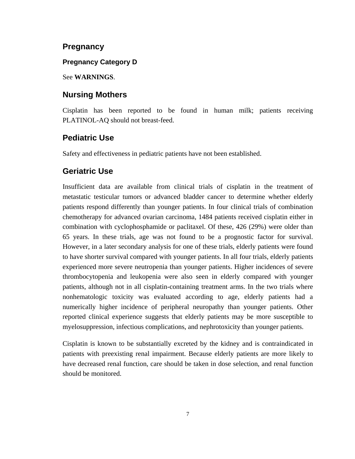#### **Pregnancy**

#### **Pregnancy Category D**

#### See **WARNINGS**.

#### **Nursing Mothers**

Cisplatin has been reported to be found in human milk; patients receiving PLATINOL-AQ should not breast-feed.

### **Pediatric Use**

Safety and effectiveness in pediatric patients have not been established.

#### **Geriatric Use**

Insufficient data are available from clinical trials of cisplatin in the treatment of metastatic testicular tumors or advanced bladder cancer to determine whether elderly patients respond differently than younger patients. In four clinical trials of combination chemotherapy for advanced ovarian carcinoma, 1484 patients received cisplatin either in combination with cyclophosphamide or paclitaxel. Of these, 426 (29%) were older than 65 years. In these trials, age was not found to be a prognostic factor for survival. However, in a later secondary analysis for one of these trials, elderly patients were found to have shorter survival compared with younger patients. In all four trials, elderly patients experienced more severe neutropenia than younger patients. Higher incidences of severe thrombocytopenia and leukopenia were also seen in elderly compared with younger patients, although not in all cisplatin-containing treatment arms. In the two trials where nonhematologic toxicity was evaluated according to age, elderly patients had a numerically higher incidence of peripheral neuropathy than younger patients. Other reported clinical experience suggests that elderly patients may be more susceptible to myelosuppression, infectious complications, and nephrotoxicity than younger patients.

Cisplatin is known to be substantially excreted by the kidney and is contraindicated in patients with preexisting renal impairment. Because elderly patients are more likely to have decreased renal function, care should be taken in dose selection, and renal function should be monitored.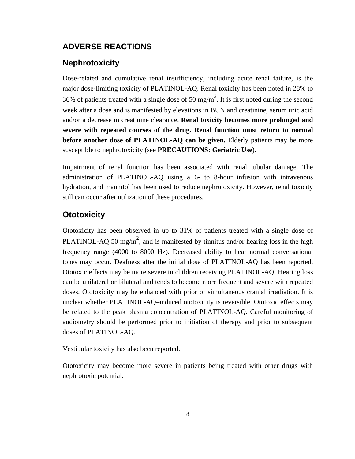# **ADVERSE REACTIONS**

# **Nephrotoxicity**

Dose-related and cumulative renal insufficiency, including acute renal failure, is the major dose-limiting toxicity of PLATINOL-AQ. Renal toxicity has been noted in 28% to 36% of patients treated with a single dose of 50 mg/m<sup>2</sup>. It is first noted during the second week after a dose and is manifested by elevations in BUN and creatinine, serum uric acid and/or a decrease in creatinine clearance. **Renal toxicity becomes more prolonged and severe with repeated courses of the drug. Renal function must return to normal before another dose of PLATINOL-AQ can be given.** Elderly patients may be more susceptible to nephrotoxicity (see **PRECAUTIONS: Geriatric Use**).

Impairment of renal function has been associated with renal tubular damage. The administration of PLATINOL-AQ using a 6- to 8-hour infusion with intravenous hydration, and mannitol has been used to reduce nephrotoxicity. However, renal toxicity still can occur after utilization of these procedures.

# **Ototoxicity**

Ototoxicity has been observed in up to 31% of patients treated with a single dose of PLATINOL-AQ 50 mg/m<sup>2</sup>, and is manifested by tinnitus and/or hearing loss in the high frequency range (4000 to 8000 Hz). Decreased ability to hear normal conversational tones may occur. Deafness after the initial dose of PLATINOL-AQ has been reported. Ototoxic effects may be more severe in children receiving PLATINOL-AQ. Hearing loss can be unilateral or bilateral and tends to become more frequent and severe with repeated doses. Ototoxicity may be enhanced with prior or simultaneous cranial irradiation. It is unclear whether PLATINOL-AQ–induced ototoxicity is reversible. Ototoxic effects may be related to the peak plasma concentration of PLATINOL-AQ. Careful monitoring of audiometry should be performed prior to initiation of therapy and prior to subsequent doses of PLATINOL-AQ.

Vestibular toxicity has also been reported.

Ototoxicity may become more severe in patients being treated with other drugs with nephrotoxic potential.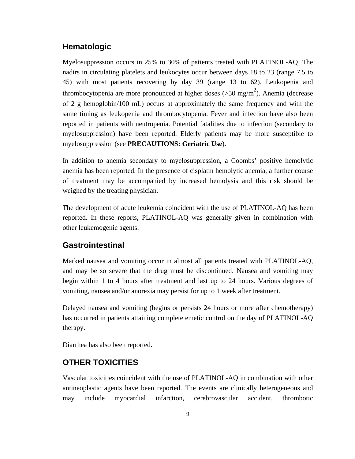# **Hematologic**

Myelosuppression occurs in 25% to 30% of patients treated with PLATINOL-AQ. The nadirs in circulating platelets and leukocytes occur between days 18 to 23 (range 7.5 to 45) with most patients recovering by day 39 (range 13 to 62). Leukopenia and thrombocytopenia are more pronounced at higher doses ( $>50$  mg/m<sup>2</sup>). Anemia (decrease of 2 g hemoglobin/100 mL) occurs at approximately the same frequency and with the same timing as leukopenia and thrombocytopenia. Fever and infection have also been reported in patients with neutropenia. Potential fatalities due to infection (secondary to myelosuppression) have been reported. Elderly patients may be more susceptible to myelosuppression (see **PRECAUTIONS: Geriatric Use**).

In addition to anemia secondary to myelosuppression, a Coombs' positive hemolytic anemia has been reported. In the presence of cisplatin hemolytic anemia, a further course of treatment may be accompanied by increased hemolysis and this risk should be weighed by the treating physician.

The development of acute leukemia coincident with the use of PLATINOL-AQ has been reported. In these reports, PLATINOL-AQ was generally given in combination with other leukemogenic agents.

#### **Gastrointestinal**

Marked nausea and vomiting occur in almost all patients treated with PLATINOL-AQ, and may be so severe that the drug must be discontinued. Nausea and vomiting may begin within 1 to 4 hours after treatment and last up to 24 hours. Various degrees of vomiting, nausea and/or anorexia may persist for up to 1 week after treatment.

Delayed nausea and vomiting (begins or persists 24 hours or more after chemotherapy) has occurred in patients attaining complete emetic control on the day of PLATINOL-AQ therapy.

Diarrhea has also been reported.

### **OTHER TOXICITIES**

Vascular toxicities coincident with the use of PLATINOL-AQ in combination with other antineoplastic agents have been reported. The events are clinically heterogeneous and may include myocardial infarction, cerebrovascular accident, thrombotic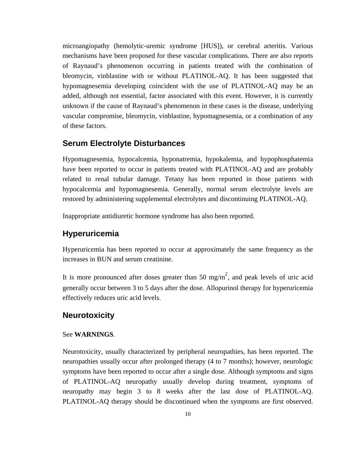microangiopathy (hemolytic-uremic syndrome [HUS]), or cerebral arteritis. Various mechanisms have been proposed for these vascular complications. There are also reports of Raynaud's phenomenon occurring in patients treated with the combination of bleomycin, vinblastine with or without PLATINOL-AQ. It has been suggested that hypomagnesemia developing coincident with the use of PLATINOL-AQ may be an added, although not essential, factor associated with this event. However, it is currently unknown if the cause of Raynaud's phenomenon in these cases is the disease, underlying vascular compromise, bleomycin, vinblastine, hypomagnesemia, or a combination of any of these factors.

#### **Serum Electrolyte Disturbances**

Hypomagnesemia, hypocalcemia, hyponatremia, hypokalemia, and hypophosphatemia have been reported to occur in patients treated with PLATINOL-AQ and are probably related to renal tubular damage. Tetany has been reported in those patients with hypocalcemia and hypomagnesemia. Generally, normal serum electrolyte levels are restored by administering supplemental electrolytes and discontinuing PLATINOL-AQ.

Inappropriate antidiuretic hormone syndrome has also been reported.

### **Hyperuricemia**

Hyperuricemia has been reported to occur at approximately the same frequency as the increases in BUN and serum creatinine.

It is more pronounced after doses greater than 50 mg/m<sup>2</sup>, and peak levels of uric acid generally occur between 3 to 5 days after the dose. Allopurinol therapy for hyperuricemia effectively reduces uric acid levels.

#### **Neurotoxicity**

#### See **WARNINGS**.

Neurotoxicity, usually characterized by peripheral neuropathies, has been reported. The neuropathies usually occur after prolonged therapy (4 to 7 months); however, neurologic symptoms have been reported to occur after a single dose. Although symptoms and signs of PLATINOL-AQ neuropathy usually develop during treatment, symptoms of neuropathy may begin 3 to 8 weeks after the last dose of PLATINOL-AQ. PLATINOL-AQ therapy should be discontinued when the symptoms are first observed.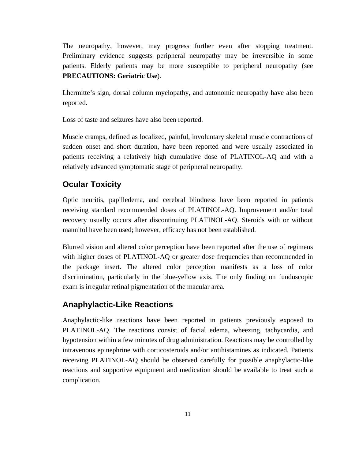The neuropathy, however, may progress further even after stopping treatment. Preliminary evidence suggests peripheral neuropathy may be irreversible in some patients. Elderly patients may be more susceptible to peripheral neuropathy (see **PRECAUTIONS: Geriatric Use**).

Lhermitte's sign, dorsal column myelopathy, and autonomic neuropathy have also been reported.

Loss of taste and seizures have also been reported.

Muscle cramps, defined as localized, painful, involuntary skeletal muscle contractions of sudden onset and short duration, have been reported and were usually associated in patients receiving a relatively high cumulative dose of PLATINOL-AQ and with a relatively advanced symptomatic stage of peripheral neuropathy.

### **Ocular Toxicity**

Optic neuritis, papilledema, and cerebral blindness have been reported in patients receiving standard recommended doses of PLATINOL-AQ. Improvement and/or total recovery usually occurs after discontinuing PLATINOL-AQ. Steroids with or without mannitol have been used; however, efficacy has not been established.

Blurred vision and altered color perception have been reported after the use of regimens with higher doses of PLATINOL-AQ or greater dose frequencies than recommended in the package insert. The altered color perception manifests as a loss of color discrimination, particularly in the blue-yellow axis. The only finding on funduscopic exam is irregular retinal pigmentation of the macular area.

### **Anaphylactic-Like Reactions**

Anaphylactic-like reactions have been reported in patients previously exposed to PLATINOL-AQ. The reactions consist of facial edema, wheezing, tachycardia, and hypotension within a few minutes of drug administration. Reactions may be controlled by intravenous epinephrine with corticosteroids and/or antihistamines as indicated. Patients receiving PLATINOL-AQ should be observed carefully for possible anaphylactic-like reactions and supportive equipment and medication should be available to treat such a complication.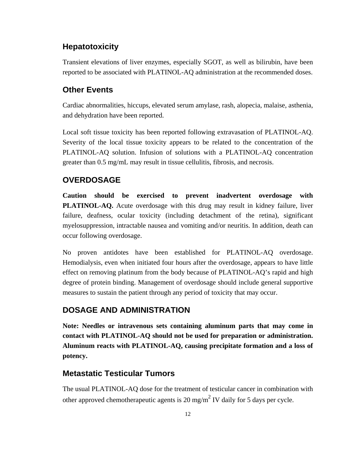# **Hepatotoxicity**

Transient elevations of liver enzymes, especially SGOT, as well as bilirubin, have been reported to be associated with PLATINOL-AQ administration at the recommended doses.

### **Other Events**

Cardiac abnormalities, hiccups, elevated serum amylase, rash, alopecia, malaise, asthenia, and dehydration have been reported.

Local soft tissue toxicity has been reported following extravasation of PLATINOL-AQ. Severity of the local tissue toxicity appears to be related to the concentration of the PLATINOL-AQ solution. Infusion of solutions with a PLATINOL-AQ concentration greater than 0.5 mg/mL may result in tissue cellulitis, fibrosis, and necrosis.

#### **OVERDOSAGE**

**Caution should be exercised to prevent inadvertent overdosage with PLATINOL-AQ.** Acute overdosage with this drug may result in kidney failure, liver failure, deafness, ocular toxicity (including detachment of the retina), significant myelosuppression, intractable nausea and vomiting and/or neuritis. In addition, death can occur following overdosage.

No proven antidotes have been established for PLATINOL-AQ overdosage. Hemodialysis, even when initiated four hours after the overdosage, appears to have little effect on removing platinum from the body because of PLATINOL-AQ's rapid and high degree of protein binding. Management of overdosage should include general supportive measures to sustain the patient through any period of toxicity that may occur.

### **DOSAGE AND ADMINISTRATION**

**Note: Needles or intravenous sets containing aluminum parts that may come in contact with PLATINOL-AQ should not be used for preparation or administration. Aluminum reacts with PLATINOL-AQ, causing precipitate formation and a loss of potency.** 

# **Metastatic Testicular Tumors**

The usual PLATINOL-AQ dose for the treatment of testicular cancer in combination with other approved chemotherapeutic agents is 20 mg/m<sup>2</sup> IV daily for 5 days per cycle.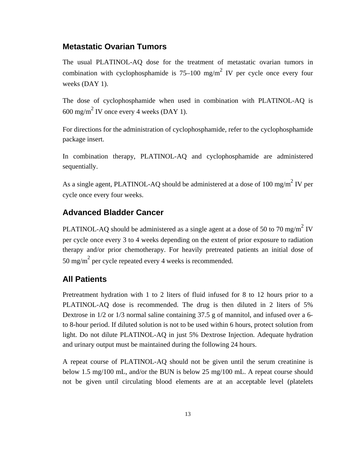### **Metastatic Ovarian Tumors**

The usual PLATINOL-AQ dose for the treatment of metastatic ovarian tumors in combination with cyclophosphamide is  $75-100$  mg/m<sup>2</sup> IV per cycle once every four weeks (DAY 1).

The dose of cyclophosphamide when used in combination with PLATINOL-AQ is  $600 \text{ mg/m}^2$  IV once every 4 weeks (DAY 1).

For directions for the administration of cyclophosphamide, refer to the cyclophosphamide package insert.

In combination therapy, PLATINOL-AQ and cyclophosphamide are administered sequentially.

As a single agent, PLATINOL-AQ should be administered at a dose of 100 mg/m<sup>2</sup> IV per cycle once every four weeks.

#### **Advanced Bladder Cancer**

PLATINOL-AQ should be administered as a single agent at a dose of 50 to 70 mg/m<sup>2</sup> IV per cycle once every 3 to 4 weeks depending on the extent of prior exposure to radiation therapy and/or prior chemotherapy. For heavily pretreated patients an initial dose of 50 mg/m<sup>2</sup> per cycle repeated every 4 weeks is recommended.

#### **All Patients**

Pretreatment hydration with 1 to 2 liters of fluid infused for 8 to 12 hours prior to a PLATINOL-AQ dose is recommended. The drug is then diluted in 2 liters of 5% Dextrose in 1/2 or 1/3 normal saline containing 37.5 g of mannitol, and infused over a 6 to 8-hour period. If diluted solution is not to be used within 6 hours, protect solution from light. Do not dilute PLATINOL-AQ in just 5% Dextrose Injection. Adequate hydration and urinary output must be maintained during the following 24 hours.

A repeat course of PLATINOL-AQ should not be given until the serum creatinine is below 1.5 mg/100 mL, and/or the BUN is below 25 mg/100 mL. A repeat course should not be given until circulating blood elements are at an acceptable level (platelets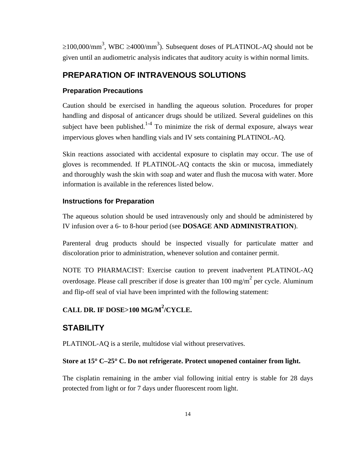≥100,000/mm<sup>3</sup>, WBC ≥4000/mm<sup>3</sup>). Subsequent doses of PLATINOL-AQ should not be given until an audiometric analysis indicates that auditory acuity is within normal limits.

### **PREPARATION OF INTRAVENOUS SOLUTIONS**

#### **Preparation Precautions**

Caution should be exercised in handling the aqueous solution. Procedures for proper handling and disposal of anticancer drugs should be utilized. Several guidelines on this subject have been published.<sup>1-4</sup> To minimize the risk of dermal exposure, always wear impervious gloves when handling vials and IV sets containing PLATINOL-AQ.

Skin reactions associated with accidental exposure to cisplatin may occur. The use of gloves is recommended. If PLATINOL-AQ contacts the skin or mucosa, immediately and thoroughly wash the skin with soap and water and flush the mucosa with water. More information is available in the references listed below.

#### **Instructions for Preparation**

The aqueous solution should be used intravenously only and should be administered by IV infusion over a 6- to 8-hour period (see **DOSAGE AND ADMINISTRATION**).

Parenteral drug products should be inspected visually for particulate matter and discoloration prior to administration, whenever solution and container permit.

NOTE TO PHARMACIST: Exercise caution to prevent inadvertent PLATINOL-AQ overdosage. Please call prescriber if dose is greater than  $100 \text{ mg/m}^2$  per cycle. Aluminum and flip-off seal of vial have been imprinted with the following statement:

# **CALL DR. IF DOSE>100 MG/M<sup>2</sup> /CYCLE.**

#### **STABILITY**

PLATINOL-AQ is a sterile, multidose vial without preservatives.

#### **Store at 15**° **C–25**° **C. Do not refrigerate. Protect unopened container from light.**

The cisplatin remaining in the amber vial following initial entry is stable for 28 days protected from light or for 7 days under fluorescent room light.